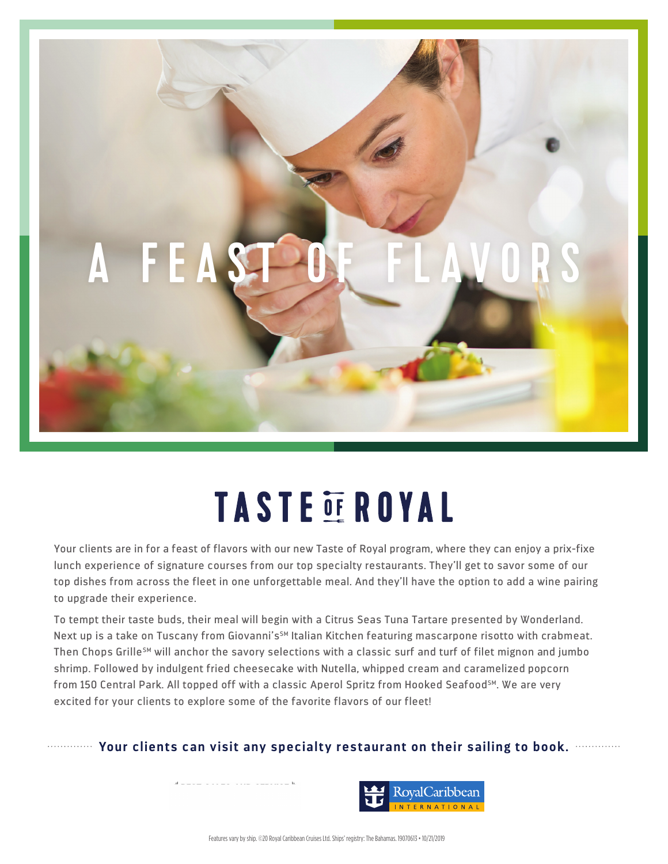

## **TASTE OF ROYAL**

Your clients are in for a feast of flavors with our new Taste of Royal program, where they can enjoy a prix-fixe lunch experience of signature courses from our top specialty restaurants. They'll get to savor some of our top dishes from across the fleet in one unforgettable meal. And they'll have the option to add a wine pairing to upgrade their experience.

To tempt their taste buds, their meal will begin with a Citrus Seas Tuna Tartare presented by Wonderland. Next up is a take on Tuscany from Giovanni's<sup>SM</sup> Italian Kitchen featuring mascarpone risotto with crabmeat. Then Chops Grille<sup>sM</sup> will anchor the savory selections with a classic surf and turf of filet mignon and jumbo shrimp. Followed by indulgent fried cheesecake with Nutella, whipped cream and caramelized popcorn from 150 Central Park. All topped off with a classic Aperol Spritz from Hooked Seafood<sup>SM</sup>. We are very excited for your clients to explore some of the favorite flavors of our fleet!

## **Your clients can visit any specialty restaurant on their sailing to book.**